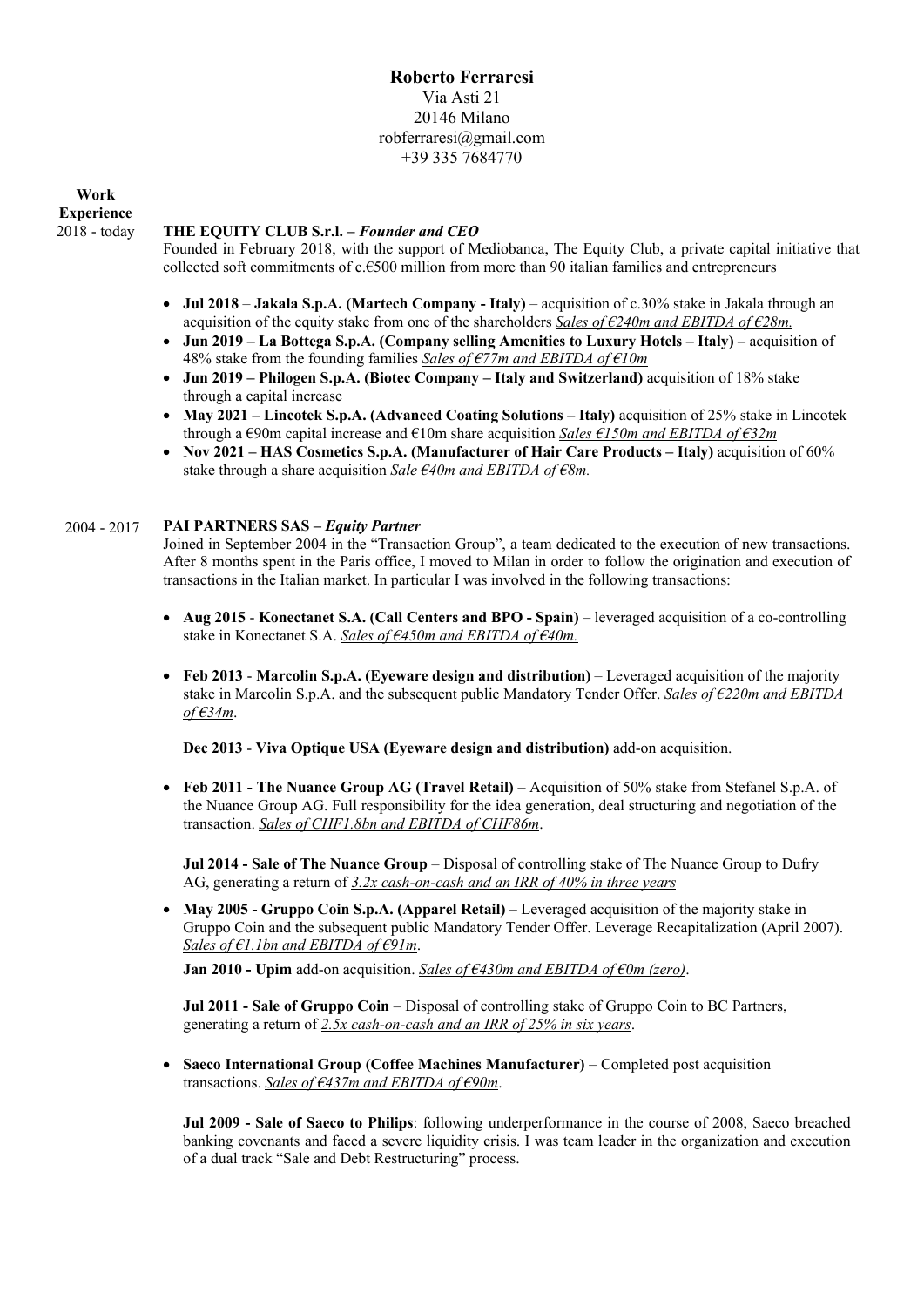# **Roberto Ferraresi**  Via Asti 21 20146 Milano robferraresi@gmail.com +39 335 7684770

**Work Experience**  2018 - today

## **THE EQUITY CLUB S.r.l. –** *Founder and CEO*

Founded in February 2018, with the support of Mediobanca, The Equity Club, a private capital initiative that collected soft commitments of c.€500 million from more than 90 italian families and entrepreneurs

- **Jul 2018 Jakala S.p.A. (Martech Company Italy)** acquisition of c.30% stake in Jakala through an acquisition of the equity stake from one of the shareholders *Sales of €240m and EBITDA of €28m.*
- Jun 2019 La Bottega S.p.A. (Company selling Amenities to Luxury Hotels Italy) acquisition of 48% stake from the founding families *Sales of €77m and EBITDA of €10m*
- **Jun 2019 Philogen S.p.A. (Biotec Company Italy and Switzerland)** acquisition of 18% stake through a capital increase
- **May 2021 Lincotek S.p.A. (Advanced Coating Solutions Italy)** acquisition of 25% stake in Lincotek through a €90m capital increase and €10m share acquisition *Sales €150m and EBITDA of €32m*
- **Nov 2021 HAS Cosmetics S.p.A. (Manufacturer of Hair Care Products Italy)** acquisition of 60% stake through a share acquisition *Sale €40m and EBITDA of €8m.*

### 2004 - 2017 **PAI PARTNERS SAS –** *Equity Partner*

Joined in September 2004 in the "Transaction Group", a team dedicated to the execution of new transactions. After 8 months spent in the Paris office, I moved to Milan in order to follow the origination and execution of transactions in the Italian market. In particular I was involved in the following transactions:

- **Aug 2015 Konectanet S.A. (Call Centers and BPO Spain)**  leveraged acquisition of a co-controlling stake in Konectanet S.A. *Sales of €450m and EBITDA of €40m.*
- **Feb 2013 Marcolin S.p.A. (Eyeware design and distribution)**  Leveraged acquisition of the majority stake in Marcolin S.p.A. and the subsequent public Mandatory Tender Offer. *Sales of €220m and EBITDA of €34m*.

**Dec 2013** - **Viva Optique USA (Eyeware design and distribution)** add-on acquisition.

 **Feb 2011 - The Nuance Group AG (Travel Retail)** – Acquisition of 50% stake from Stefanel S.p.A. of the Nuance Group AG. Full responsibility for the idea generation, deal structuring and negotiation of the transaction. *Sales of CHF1.8bn and EBITDA of CHF86m*.

**Jul 2014 - Sale of The Nuance Group** – Disposal of controlling stake of The Nuance Group to Dufry AG, generating a return of *3.2x cash-on-cash and an IRR of 40% in three years* 

**May 2005 - Gruppo Coin S.p.A. (Apparel Retail)** – Leveraged acquisition of the majority stake in Gruppo Coin and the subsequent public Mandatory Tender Offer. Leverage Recapitalization (April 2007). *Sales of €1.1bn and EBITDA of €91m*.

**Jan 2010 - Upim** add-on acquisition. *Sales of €430m and EBITDA of €0m (zero)*.

**Jul 2011 - Sale of Gruppo Coin** – Disposal of controlling stake of Gruppo Coin to BC Partners, generating a return of *2.5x cash-on-cash and an IRR of 25% in six years*.

 **Saeco International Group (Coffee Machines Manufacturer)** – Completed post acquisition transactions. *Sales of €437m and EBITDA of €90m*.

**Jul 2009 - Sale of Saeco to Philips**: following underperformance in the course of 2008, Saeco breached banking covenants and faced a severe liquidity crisis. I was team leader in the organization and execution of a dual track "Sale and Debt Restructuring" process.